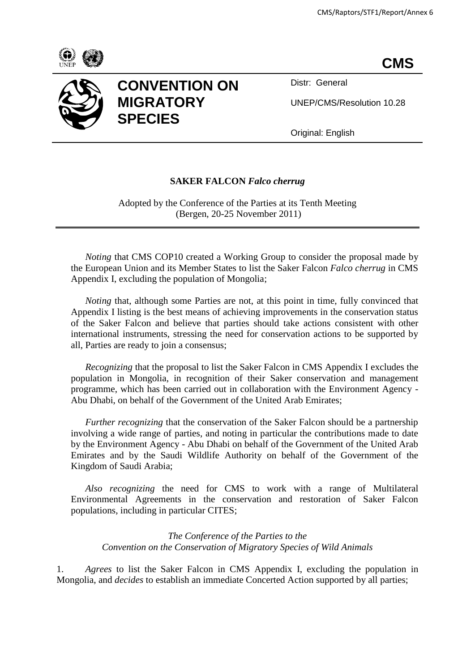



## **CONVENTION ON MIGRATORY SPECIES**

Distr: General

UNEP/CMS/Resolution 10.28

Original: English

## **SAKER FALCON** *Falco cherrug*

Adopted by the Conference of the Parties at its Tenth Meeting (Bergen, 20-25 November 2011)

*Noting* that CMS COP10 created a Working Group to consider the proposal made by the European Union and its Member States to list the Saker Falcon *Falco cherrug* in CMS Appendix I, excluding the population of Mongolia;

*Noting* that, although some Parties are not, at this point in time, fully convinced that Appendix I listing is the best means of achieving improvements in the conservation status of the Saker Falcon and believe that parties should take actions consistent with other international instruments, stressing the need for conservation actions to be supported by all, Parties are ready to join a consensus;

*Recognizing* that the proposal to list the Saker Falcon in CMS Appendix I excludes the population in Mongolia, in recognition of their Saker conservation and management programme, which has been carried out in collaboration with the Environment Agency - Abu Dhabi, on behalf of the Government of the United Arab Emirates;

*Further recognizing* that the conservation of the Saker Falcon should be a partnership involving a wide range of parties, and noting in particular the contributions made to date by the Environment Agency - Abu Dhabi on behalf of the Government of the United Arab Emirates and by the Saudi Wildlife Authority on behalf of the Government of the Kingdom of Saudi Arabia;

*Also recognizing* the need for CMS to work with a range of Multilateral Environmental Agreements in the conservation and restoration of Saker Falcon populations, including in particular CITES;

*The Conference of the Parties to the Convention on the Conservation of Migratory Species of Wild Animals*

1. *Agrees* to list the Saker Falcon in CMS Appendix I, excluding the population in Mongolia, and *decides* to establish an immediate Concerted Action supported by all parties;